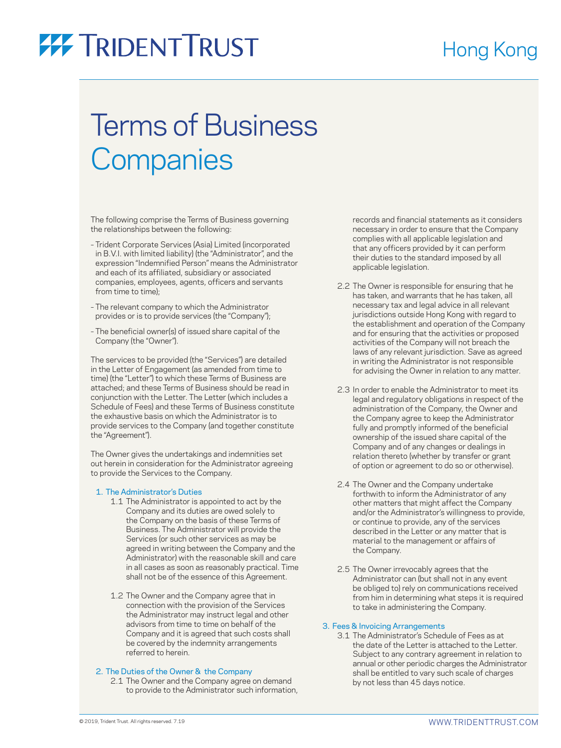### Hong Kong

# **77 TRIDENT TRUST**

## Terms of Business **Companies**

The following comprise the Terms of Business governing the relationships between the following:

- Trident Corporate Services (Asia) Limited (incorporated in B.V.I. with limited liability) (the "Administrator", and the expression "Indemnified Person" means the Administrator and each of its affiliated, subsidiary or associated companies, employees, agents, officers and servants from time to time);
- The relevant company to which the Administrator provides or is to provide services (the "Company");
- The beneficial owner(s) of issued share capital of the Company (the "Owner").

The services to be provided (the "Services") are detailed in the Letter of Engagement (as amended from time to time) (the "Letter") to which these Terms of Business are attached; and these Terms of Business should be read in conjunction with the Letter. The Letter (which includes a Schedule of Fees) and these Terms of Business constitute the exhaustive basis on which the Administrator is to provide services to the Company (and together constitute the "Agreement").

The Owner gives the undertakings and indemnities set out herein in consideration for the Administrator agreeing to provide the Services to the Company.

#### 1. The Administrator's Duties

- 1.1 The Administrator is appointed to act by the Company and its duties are owed solely to the Company on the basis of these Terms of Business. The Administrator will provide the Services (or such other services as may be agreed in writing between the Company and the Administrator) with the reasonable skill and care in all cases as soon as reasonably practical. Time shall not be of the essence of this Agreement.
- 1.2 The Owner and the Company agree that in connection with the provision of the Services the Administrator may instruct legal and other advisors from time to time on behalf of the Company and it is agreed that such costs shall be covered by the indemnity arrangements referred to herein.

#### 2. The Duties of the Owner & the Company

 2.1 The Owner and the Company agree on demand to provide to the Administrator such information, records and financial statements as it considers necessary in order to ensure that the Company complies with all applicable legislation and that any officers provided by it can perform their duties to the standard imposed by all applicable legislation.

- 2.2 The Owner is responsible for ensuring that he has taken, and warrants that he has taken, all necessary tax and legal advice in all relevant jurisdictions outside Hong Kong with regard to the establishment and operation of the Company and for ensuring that the activities or proposed activities of the Company will not breach the laws of any relevant jurisdiction. Save as agreed in writing the Administrator is not responsible for advising the Owner in relation to any matter.
- 2.3 In order to enable the Administrator to meet its legal and regulatory obligations in respect of the administration of the Company, the Owner and the Company agree to keep the Administrator fully and promptly informed of the beneficial ownership of the issued share capital of the Company and of any changes or dealings in relation thereto (whether by transfer or grant of option or agreement to do so or otherwise).
- 2.4 The Owner and the Company undertake forthwith to inform the Administrator of any other matters that might affect the Company and/or the Administrator's willingness to provide, or continue to provide, any of the services described in the Letter or any matter that is material to the management or affairs of the Company.
- 2.5 The Owner irrevocably agrees that the Administrator can (but shall not in any event be obliged to) rely on communications received from him in determining what steps it is required to take in administering the Company.

#### 3. Fees & Invoicing Arrangements

 3.1 The Administrator's Schedule of Fees as at the date of the Letter is attached to the Letter. Subject to any contrary agreement in relation to annual or other periodic charges the Administrator shall be entitled to vary such scale of charges by not less than 45 days notice.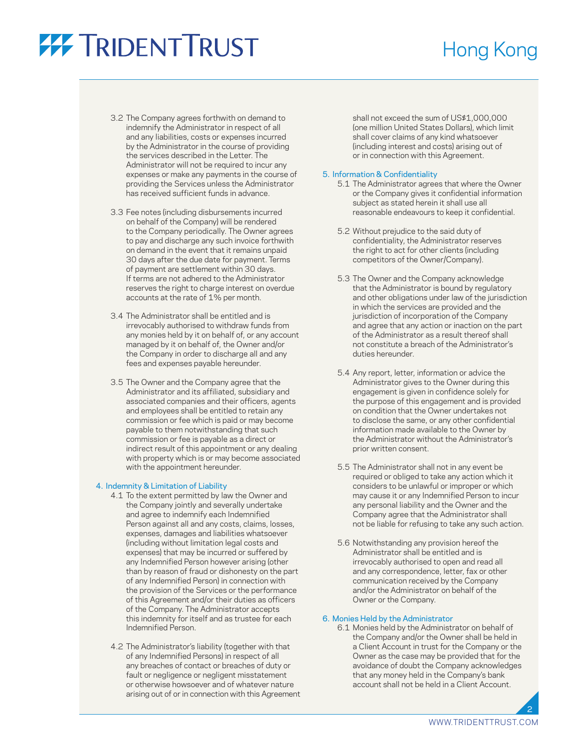# **77 TRIDENT TRUST**

### Hong Kong

- 3.2 The Company agrees forthwith on demand to indemnify the Administrator in respect of all and any liabilities, costs or expenses incurred by the Administrator in the course of providing the services described in the Letter. The Administrator will not be required to incur any expenses or make any payments in the course of providing the Services unless the Administrator has received sufficient funds in advance.
- 3.3 Fee notes (including disbursements incurred on behalf of the Company) will be rendered to the Company periodically. The Owner agrees to pay and discharge any such invoice forthwith on demand in the event that it remains unpaid 30 days after the due date for payment. Terms of payment are settlement within 30 days. If terms are not adhered to the Administrator reserves the right to charge interest on overdue accounts at the rate of 1% per month.
- 3.4 The Administrator shall be entitled and is irrevocably authorised to withdraw funds from any monies held by it on behalf of, or any account managed by it on behalf of, the Owner and/or the Company in order to discharge all and any fees and expenses payable hereunder.
- 3.5 The Owner and the Company agree that the Administrator and its affiliated, subsidiary and associated companies and their officers, agents and employees shall be entitled to retain any commission or fee which is paid or may become payable to them notwithstanding that such commission or fee is payable as a direct or indirect result of this appointment or any dealing with property which is or may become associated with the appointment hereunder.

#### 4. Indemnity & Limitation of Liability

- 4.1 To the extent permitted by law the Owner and the Company jointly and severally undertake and agree to indemnify each Indemnified Person against all and any costs, claims, losses, expenses, damages and liabilities whatsoever (including without limitation legal costs and expenses) that may be incurred or suffered by any Indemnified Person however arising (other than by reason of fraud or dishonesty on the part of any Indemnified Person) in connection with the provision of the Services or the performance of this Agreement and/or their duties as officers of the Company. The Administrator accepts this indemnity for itself and as trustee for each Indemnified Person.
- 4.2 The Administrator's liability (together with that of any Indemnified Persons) in respect of all any breaches of contact or breaches of duty or fault or negligence or negligent misstatement or otherwise howsoever and of whatever nature arising out of or in connection with this Agreement

shall not exceed the sum of US\$1,000,000 (one million United States Dollars), which limit shall cover claims of any kind whatsoever (including interest and costs) arising out of or in connection with this Agreement.

#### 5. Information & Confidentiality

- 5.1 The Administrator agrees that where the Owner or the Company gives it confidential information subject as stated herein it shall use all reasonable endeavours to keep it confidential.
- 5.2 Without prejudice to the said duty of confidentiality, the Administrator reserves the right to act for other clients (including competitors of the Owner/Company).
- 5.3 The Owner and the Company acknowledge that the Administrator is bound by regulatory and other obligations under law of the jurisdiction in which the services are provided and the jurisdiction of incorporation of the Company and agree that any action or inaction on the part of the Administrator as a result thereof shall not constitute a breach of the Administrator's duties hereunder.
- 5.4 Any report, letter, information or advice the Administrator gives to the Owner during this engagement is given in confidence solely for the purpose of this engagement and is provided on condition that the Owner undertakes not to disclose the same, or any other confidential information made available to the Owner by the Administrator without the Administrator's prior written consent.
- 5.5 The Administrator shall not in any event be required or obliged to take any action which it considers to be unlawful or improper or which may cause it or any Indemnified Person to incur any personal liability and the Owner and the Company agree that the Administrator shall not be liable for refusing to take any such action.
- 5.6 Notwithstanding any provision hereof the Administrator shall be entitled and is irrevocably authorised to open and read all and any correspondence, letter, fax or other communication received by the Company and/or the Administrator on behalf of the Owner or the Company.

#### 6. Monies Held by the Administrator

 6.1 Monies held by the Administrator on behalf of the Company and/or the Owner shall be held in a Client Account in trust for the Company or the Owner as the case may be provided that for the avoidance of doubt the Company acknowledges that any money held in the Company's bank account shall not be held in a Client Account.

2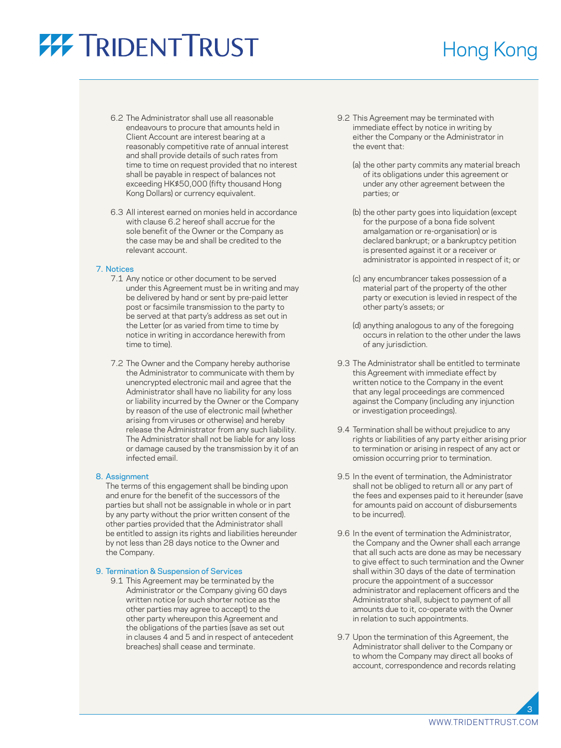## **77 TRIDENT TRUST**

### Hong Kong

- 6.2 The Administrator shall use all reasonable endeavours to procure that amounts held in Client Account are interest bearing at a reasonably competitive rate of annual interest and shall provide details of such rates from time to time on request provided that no interest shall be payable in respect of balances not exceeding HK\$50,000 (fifty thousand Hong Kong Dollars) or currency equivalent.
- 6.3 All interest earned on monies held in accordance with clause 6.2 hereof shall accrue for the sole benefit of the Owner or the Company as the case may be and shall be credited to the relevant account.

#### 7. Notices

- 7.1 Any notice or other document to be served under this Agreement must be in writing and may be delivered by hand or sent by pre-paid letter post or facsimile transmission to the party to be served at that party's address as set out in the Letter (or as varied from time to time by notice in writing in accordance herewith from time to time).
- 7.2 The Owner and the Company hereby authorise the Administrator to communicate with them by unencrypted electronic mail and agree that the Administrator shall have no liability for any loss or liability incurred by the Owner or the Company by reason of the use of electronic mail (whether arising from viruses or otherwise) and hereby release the Administrator from any such liability. The Administrator shall not be liable for any loss or damage caused by the transmission by it of an infected email.

#### 8. Assignment

 The terms of this engagement shall be binding upon and enure for the benefit of the successors of the parties but shall not be assignable in whole or in part by any party without the prior written consent of the other parties provided that the Administrator shall be entitled to assign its rights and liabilities hereunder by not less than 28 days notice to the Owner and the Company.

#### 9. Termination & Suspension of Services

 9.1 This Agreement may be terminated by the Administrator or the Company giving 60 days written notice (or such shorter notice as the other parties may agree to accept) to the other party whereupon this Agreement and the obligations of the parties (save as set out in clauses 4 and 5 and in respect of antecedent breaches) shall cease and terminate.

- 9.2 This Agreement may be terminated with immediate effect by notice in writing by either the Company or the Administrator in the event that:
	- (a) the other party commits any material breach of its obligations under this agreement or under any other agreement between the parties; or
	- (b) the other party goes into liquidation (except for the purpose of a bona fide solvent amalgamation or re-organisation) or is declared bankrupt; or a bankruptcy petition is presented against it or a receiver or administrator is appointed in respect of it; or
	- (c) any encumbrancer takes possession of a material part of the property of the other party or execution is levied in respect of the other party's assets; or
	- (d) anything analogous to any of the foregoing occurs in relation to the other under the laws of any jurisdiction.
- 9.3 The Administrator shall be entitled to terminate this Agreement with immediate effect by written notice to the Company in the event that any legal proceedings are commenced against the Company (including any injunction or investigation proceedings).
- 9.4 Termination shall be without prejudice to any rights or liabilities of any party either arising prior to termination or arising in respect of any act or omission occurring prior to termination.
- 9.5 In the event of termination, the Administrator shall not be obliged to return all or any part of the fees and expenses paid to it hereunder (save for amounts paid on account of disbursements to be incurred).
- 9.6 In the event of termination the Administrator, the Company and the Owner shall each arrange that all such acts are done as may be necessary to give effect to such termination and the Owner shall within 30 days of the date of termination procure the appointment of a successor administrator and replacement officers and the Administrator shall, subject to payment of all amounts due to it, co-operate with the Owner in relation to such appointments.
- 9.7 Upon the termination of this Agreement, the Administrator shall deliver to the Company or to whom the Company may direct all books of account, correspondence and records relating

3